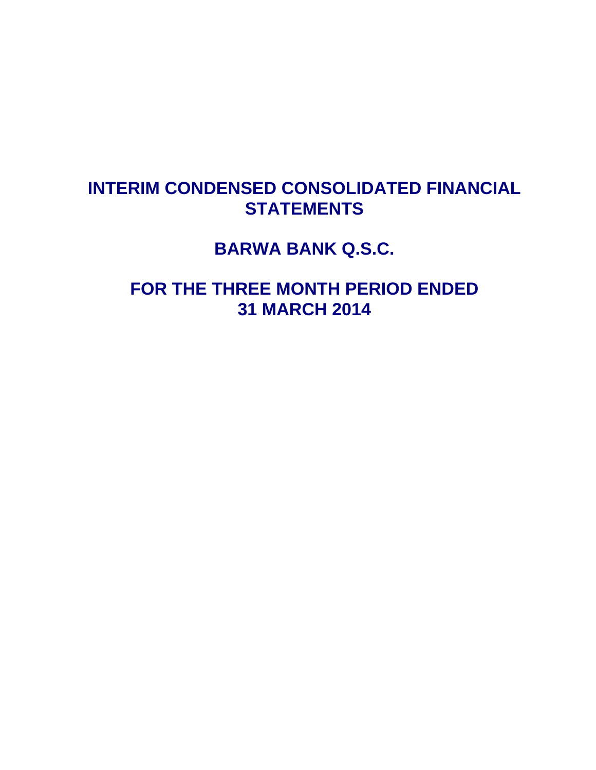# **INTERIM CONDENSED CONSOLIDATED FINANCIAL STATEMENTS**

**BARWA BANK Q.S.C.** 

**FOR THE THREE MONTH PERIOD ENDED 31 MARCH 2014**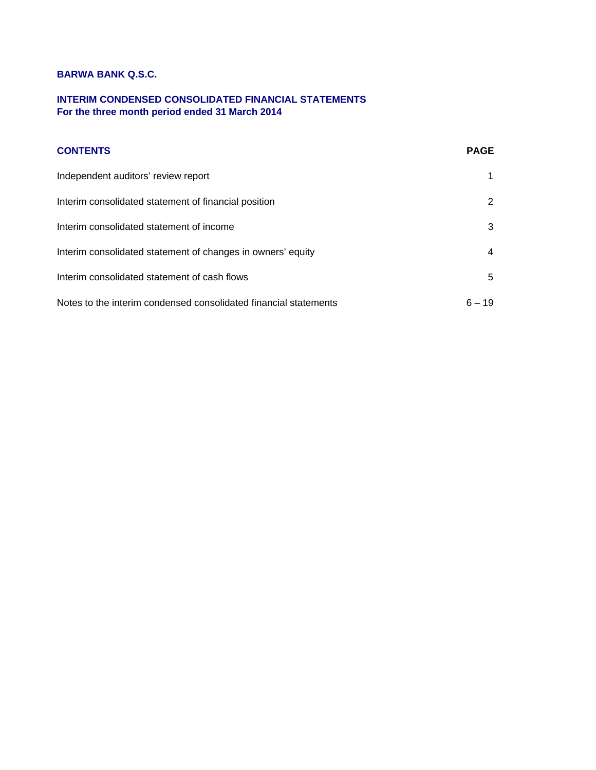## **INTERIM CONDENSED CONSOLIDATED FINANCIAL STATEMENTS For the three month period ended 31 March 2014**

## **CONTENTS PAGE**

| Independent auditors' review report                              |    |
|------------------------------------------------------------------|----|
| Interim consolidated statement of financial position             | 2  |
| Interim consolidated statement of income                         | 3  |
| Interim consolidated statement of changes in owners' equity      | 4  |
| Interim consolidated statement of cash flows                     | 5  |
| Notes to the interim condensed consolidated financial statements | 19 |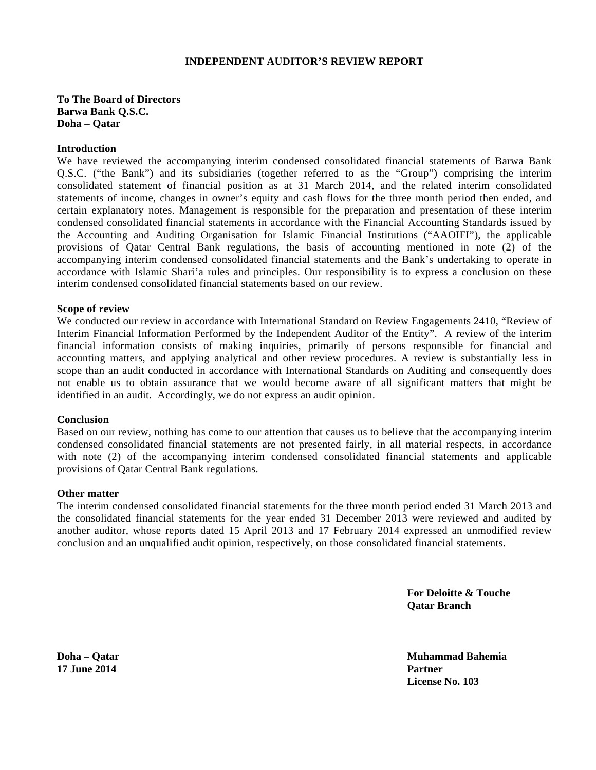#### **INDEPENDENT AUDITOR'S REVIEW REPORT**

**To The Board of Directors Barwa Bank Q.S.C. Doha – Qatar**

#### **Introduction**

We have reviewed the accompanying interim condensed consolidated financial statements of Barwa Bank Q.S.C. ("the Bank") and its subsidiaries (together referred to as the "Group") comprising the interim consolidated statement of financial position as at 31 March 2014, and the related interim consolidated statements of income, changes in owner's equity and cash flows for the three month period then ended, and certain explanatory notes. Management is responsible for the preparation and presentation of these interim condensed consolidated financial statements in accordance with the Financial Accounting Standards issued by the Accounting and Auditing Organisation for Islamic Financial Institutions ("AAOIFI"), the applicable provisions of Qatar Central Bank regulations, the basis of accounting mentioned in note (2) of the accompanying interim condensed consolidated financial statements and the Bank's undertaking to operate in accordance with Islamic Shari'a rules and principles. Our responsibility is to express a conclusion on these interim condensed consolidated financial statements based on our review.

#### **Scope of review**

We conducted our review in accordance with International Standard on Review Engagements 2410, "Review of Interim Financial Information Performed by the Independent Auditor of the Entity". A review of the interim financial information consists of making inquiries, primarily of persons responsible for financial and accounting matters, and applying analytical and other review procedures. A review is substantially less in scope than an audit conducted in accordance with International Standards on Auditing and consequently does not enable us to obtain assurance that we would become aware of all significant matters that might be identified in an audit. Accordingly, we do not express an audit opinion.

#### **Conclusion**

Based on our review, nothing has come to our attention that causes us to believe that the accompanying interim condensed consolidated financial statements are not presented fairly, in all material respects, in accordance with note (2) of the accompanying interim condensed consolidated financial statements and applicable provisions of Qatar Central Bank regulations.

#### **Other matter**

The interim condensed consolidated financial statements for the three month period ended 31 March 2013 and the consolidated financial statements for the year ended 31 December 2013 were reviewed and audited by another auditor, whose reports dated 15 April 2013 and 17 February 2014 expressed an unmodified review conclusion and an unqualified audit opinion, respectively, on those consolidated financial statements.

> **For Deloitte & Touche Qatar Branch**

**Doha – Qatar Muhammad Bahemia License No. 103** 

**17 June 2014 Partner**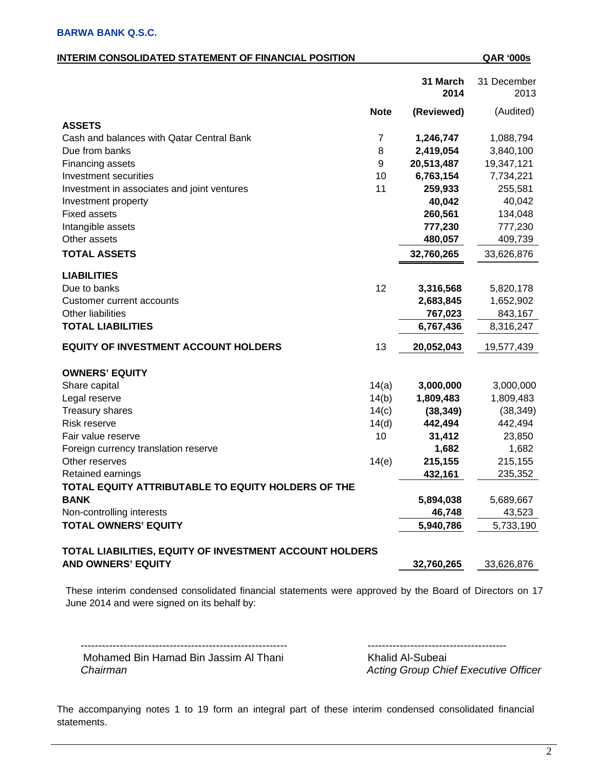| INTERIM CONSOLIDATED STATEMENT OF FINANCIAL POSITION | <b>QAR '000s</b> |
|------------------------------------------------------|------------------|

|                                                             |             | 31 March<br>2014 | 31 December<br>2013 |
|-------------------------------------------------------------|-------------|------------------|---------------------|
|                                                             | <b>Note</b> | (Reviewed)       | (Audited)           |
| <b>ASSETS</b>                                               | 7           | 1,246,747        | 1,088,794           |
| Cash and balances with Qatar Central Bank<br>Due from banks | 8           | 2,419,054        | 3,840,100           |
| Financing assets                                            | 9           | 20,513,487       | 19,347,121          |
| Investment securities                                       | 10          | 6,763,154        | 7,734,221           |
| Investment in associates and joint ventures                 | 11          | 259,933          | 255,581             |
| Investment property                                         |             | 40,042           | 40,042              |
| <b>Fixed assets</b>                                         |             | 260,561          | 134,048             |
| Intangible assets                                           |             | 777,230          | 777,230             |
| Other assets                                                |             | 480,057          | 409,739             |
| <b>TOTAL ASSETS</b>                                         |             | 32,760,265       | 33,626,876          |
| <b>LIABILITIES</b>                                          |             |                  |                     |
| Due to banks                                                | 12          | 3,316,568        | 5,820,178           |
| <b>Customer current accounts</b>                            |             | 2,683,845        | 1,652,902           |
| <b>Other liabilities</b>                                    |             | 767,023          | 843,167             |
| <b>TOTAL LIABILITIES</b>                                    |             | 6,767,436        | 8,316,247           |
| <b>EQUITY OF INVESTMENT ACCOUNT HOLDERS</b>                 | 13          | 20,052,043       | 19,577,439          |
| <b>OWNERS' EQUITY</b>                                       |             |                  |                     |
| Share capital                                               | 14(a)       | 3,000,000        | 3,000,000           |
| Legal reserve                                               | 14(b)       | 1,809,483        | 1,809,483           |
| <b>Treasury shares</b>                                      | 14(c)       | (38, 349)        | (38, 349)           |
| <b>Risk reserve</b>                                         | 14(d)       | 442,494          | 442,494             |
| Fair value reserve                                          | 10          | 31,412           | 23,850              |
| Foreign currency translation reserve                        |             | 1,682            | 1,682               |
| Other reserves                                              | 14(e)       | 215,155          | 215,155             |
| Retained earnings                                           |             | 432,161          | 235,352             |
| TOTAL EQUITY ATTRIBUTABLE TO EQUITY HOLDERS OF THE          |             |                  |                     |
| <b>BANK</b>                                                 |             | 5,894,038        | 5,689,667           |
| Non-controlling interests                                   |             | 46,748           | 43,523              |
| <b>TOTAL OWNERS' EQUITY</b>                                 |             | 5,940,786        | 5,733,190           |
| TOTAL LIABILITIES, EQUITY OF INVESTMENT ACCOUNT HOLDERS     |             |                  |                     |
| <b>AND OWNERS' EQUITY</b>                                   |             | 32,760,265       | 33,626,876          |
|                                                             |             |                  |                     |

These interim condensed consolidated financial statements were approved by the Board of Directors on 17 June 2014 and were signed on its behalf by:

 ---------------------------------------------------------- --------------------------------------- Mohamed Bin Hamad Bin Jassim Al Thani  *Chairman Acting Group Chief Executive Officer*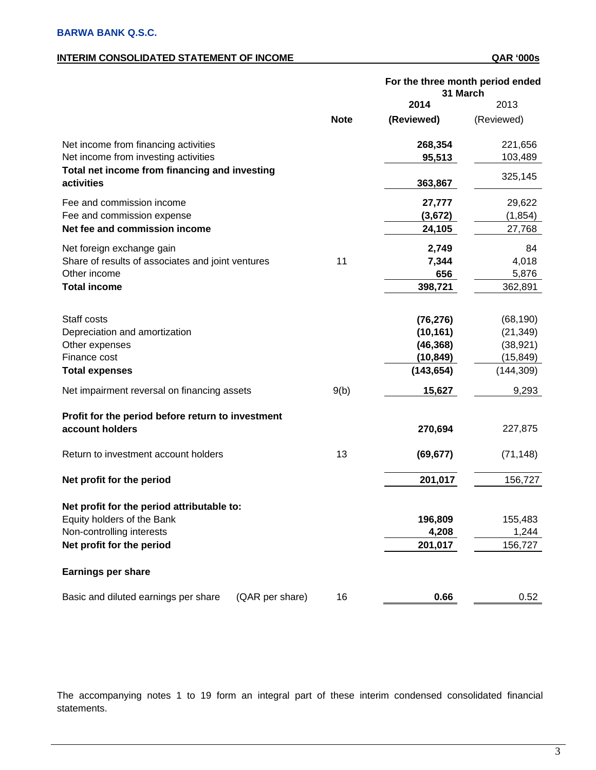## **INTERIM CONSOLIDATED STATEMENT OF INCOME QAR '000s**

|                                                             |             |            | For the three month period ended<br>31 March |
|-------------------------------------------------------------|-------------|------------|----------------------------------------------|
|                                                             |             | 2014       | 2013                                         |
|                                                             | <b>Note</b> | (Reviewed) | (Reviewed)                                   |
| Net income from financing activities                        |             | 268,354    | 221,656                                      |
| Net income from investing activities                        |             | 95,513     | 103,489                                      |
| Total net income from financing and investing<br>activities |             | 363,867    | 325,145                                      |
| Fee and commission income                                   |             | 27,777     | 29,622                                       |
| Fee and commission expense                                  |             | (3,672)    | (1, 854)                                     |
| Net fee and commission income                               |             | 24,105     | 27,768                                       |
| Net foreign exchange gain                                   |             | 2,749      | 84                                           |
| Share of results of associates and joint ventures           | 11          | 7,344      | 4,018                                        |
| Other income                                                |             | 656        | 5,876                                        |
| <b>Total income</b>                                         |             | 398,721    | 362,891                                      |
|                                                             |             |            |                                              |
| Staff costs                                                 |             | (76, 276)  | (68, 190)                                    |
| Depreciation and amortization                               |             | (10, 161)  | (21, 349)                                    |
| Other expenses                                              |             | (46, 368)  | (38, 921)                                    |
| Finance cost                                                |             | (10,849)   | (15, 849)                                    |
| <b>Total expenses</b>                                       |             | (143, 654) | (144, 309)                                   |
| Net impairment reversal on financing assets                 | 9(b)        | 15,627     | 9,293                                        |
| Profit for the period before return to investment           |             |            |                                              |
| account holders                                             |             | 270,694    | 227,875                                      |
| Return to investment account holders                        | 13          | (69, 677)  | (71, 148)                                    |
| Net profit for the period                                   |             | 201,017    | 156,727                                      |
| Net profit for the period attributable to:                  |             |            |                                              |
| Equity holders of the Bank                                  |             | 196,809    | 155,483                                      |
| Non-controlling interests                                   |             | 4,208      | 1,244                                        |
| Net profit for the period                                   |             | 201,017    | 156,727                                      |
| <b>Earnings per share</b>                                   |             |            |                                              |
| Basic and diluted earnings per share<br>(QAR per share)     | 16          | 0.66       | 0.52                                         |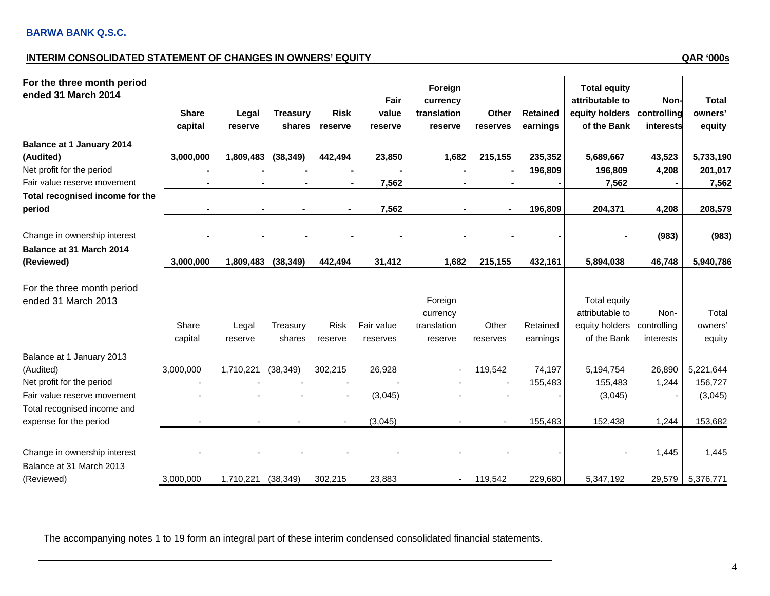## **INTERIM CONSOLIDATED STATEMENT OF CHANGES IN OWNERS' EQUITY**

**QAR '000s** 

| For the three month period<br>ended 31 March 2014                   | <b>Share</b><br>capital | Legal<br>reserve | <b>Treasury</b><br>shares | <b>Risk</b><br>reserve | Fair<br>value<br>reserve | Foreign<br>currency<br>translation<br>reserve | Other<br>reserves | <b>Retained</b><br>earnings | <b>Total equity</b><br>attributable to<br>equity holders<br>of the Bank | Non-<br>controlling<br>interests | <b>Total</b><br>owners'<br>equity |
|---------------------------------------------------------------------|-------------------------|------------------|---------------------------|------------------------|--------------------------|-----------------------------------------------|-------------------|-----------------------------|-------------------------------------------------------------------------|----------------------------------|-----------------------------------|
| <b>Balance at 1 January 2014</b><br>(Audited)                       | 3,000,000               | 1,809,483        | (38, 349)                 | 442,494                | 23,850                   | 1,682                                         | 215,155           | 235,352                     | 5,689,667                                                               | 43,523                           | 5,733,190                         |
| Net profit for the period                                           |                         |                  |                           |                        |                          |                                               |                   | 196,809                     | 196,809                                                                 | 4,208                            | 201,017                           |
| Fair value reserve movement                                         |                         |                  |                           |                        | 7,562                    |                                               |                   |                             | 7,562                                                                   |                                  | 7,562                             |
| Total recognised income for the<br>period                           |                         | $\blacksquare$   | $\sim$                    | $\sim$                 | 7,562                    | $\sim$                                        | $\blacksquare$    | 196,809                     | 204,371                                                                 | 4,208                            | 208,579                           |
| Change in ownership interest                                        |                         |                  |                           |                        |                          |                                               |                   |                             |                                                                         | (983)                            | (983)                             |
| Balance at 31 March 2014<br>(Reviewed)                              | 3,000,000               | 1,809,483        | (38, 349)                 | 442,494                | 31,412                   | 1,682                                         | 215,155           | 432,161                     | 5,894,038                                                               | 46,748                           | 5,940,786                         |
| For the three month period<br>ended 31 March 2013                   | Share<br>capital        | Legal<br>reserve | Treasury<br>shares        | <b>Risk</b><br>reserve | Fair value<br>reserves   | Foreign<br>currency<br>translation<br>reserve | Other<br>reserves | Retained<br>earnings        | Total equity<br>attributable to<br>equity holders<br>of the Bank        | Non-<br>controlling<br>interests | Total<br>owners'<br>equity        |
| Balance at 1 January 2013<br>(Audited)<br>Net profit for the period | 3,000,000               | 1,710,221        | (38, 349)                 | 302,215                | 26,928                   |                                               | 119,542           | 74,197<br>155,483           | 5,194,754<br>155,483                                                    | 26,890<br>1,244                  | 5,221,644<br>156,727              |
| Fair value reserve movement                                         |                         |                  |                           |                        | (3,045)                  |                                               |                   |                             | (3,045)                                                                 |                                  | (3,045)                           |
| Total recognised income and<br>expense for the period               |                         |                  |                           |                        | (3,045)                  |                                               |                   | 155,483                     | 152,438                                                                 | 1,244                            | 153,682                           |
| Change in ownership interest                                        |                         | $\sim$           | $\sim$                    | $\sim$                 |                          | $\blacksquare$                                | $\blacksquare$    |                             |                                                                         | 1,445                            | 1,445                             |
| Balance at 31 March 2013<br>(Reviewed)                              | 3,000,000               | 1,710,221        | (38, 349)                 | 302,215                | 23,883                   | $\sim$                                        | 119,542           | 229,680                     | 5,347,192                                                               | 29,579                           | 5,376,771                         |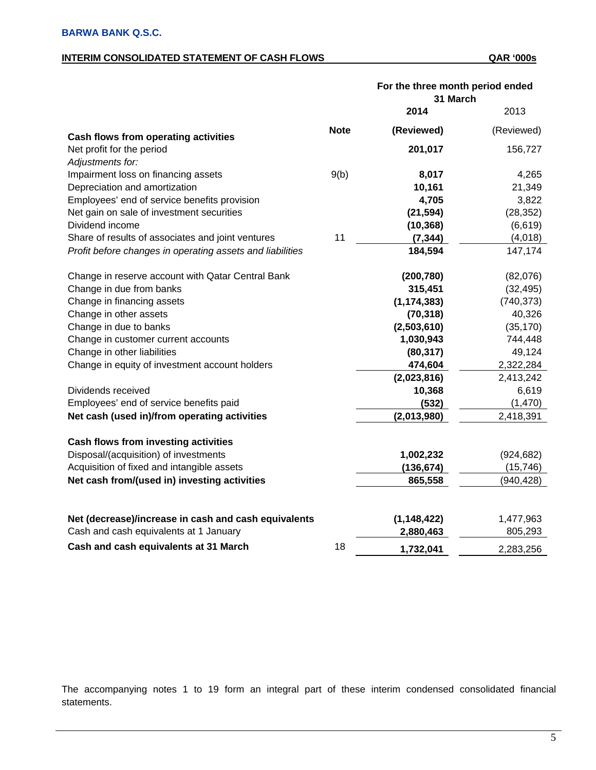## **INTERIM CONSOLIDATED STATEMENT OF CASH FLOWS QAR '000s**

|                                                           |             | For the three month period ended<br>31 March |            |
|-----------------------------------------------------------|-------------|----------------------------------------------|------------|
|                                                           |             | 2014                                         | 2013       |
| <b>Cash flows from operating activities</b>               | <b>Note</b> | (Reviewed)                                   | (Reviewed) |
| Net profit for the period                                 |             | 201,017                                      | 156,727    |
| Adjustments for:                                          |             |                                              |            |
| Impairment loss on financing assets                       | 9(b)        | 8,017                                        | 4,265      |
| Depreciation and amortization                             |             | 10,161                                       | 21,349     |
| Employees' end of service benefits provision              |             | 4,705                                        | 3,822      |
| Net gain on sale of investment securities                 |             | (21, 594)                                    | (28, 352)  |
| Dividend income                                           |             | (10, 368)                                    | (6,619)    |
| Share of results of associates and joint ventures         | 11          | (7, 344)                                     | (4,018)    |
| Profit before changes in operating assets and liabilities |             | 184,594                                      | 147,174    |
| Change in reserve account with Qatar Central Bank         |             | (200, 780)                                   | (82,076)   |
| Change in due from banks                                  |             | 315,451                                      | (32, 495)  |
| Change in financing assets                                |             | (1, 174, 383)                                | (740, 373) |
| Change in other assets                                    |             | (70, 318)                                    | 40,326     |
| Change in due to banks                                    |             | (2,503,610)                                  | (35, 170)  |
| Change in customer current accounts                       |             | 1,030,943                                    | 744,448    |
| Change in other liabilities                               |             | (80, 317)                                    | 49,124     |
| Change in equity of investment account holders            |             | 474,604                                      | 2,322,284  |
|                                                           |             | (2,023,816)                                  | 2,413,242  |
| Dividends received                                        |             | 10,368                                       | 6,619      |
| Employees' end of service benefits paid                   |             | (532)                                        | (1,470)    |
| Net cash (used in)/from operating activities              |             | (2,013,980)                                  | 2,418,391  |
| Cash flows from investing activities                      |             |                                              |            |
| Disposal/(acquisition) of investments                     |             | 1,002,232                                    | (924, 682) |
| Acquisition of fixed and intangible assets                |             | (136, 674)                                   | (15, 746)  |
| Net cash from/(used in) investing activities              |             | 865,558                                      | (940, 428) |
|                                                           |             |                                              |            |
| Net (decrease)/increase in cash and cash equivalents      |             | (1, 148, 422)                                | 1,477,963  |
| Cash and cash equivalents at 1 January                    |             | 2,880,463                                    | 805,293    |
| Cash and cash equivalents at 31 March                     | 18          | 1,732,041                                    | 2,283,256  |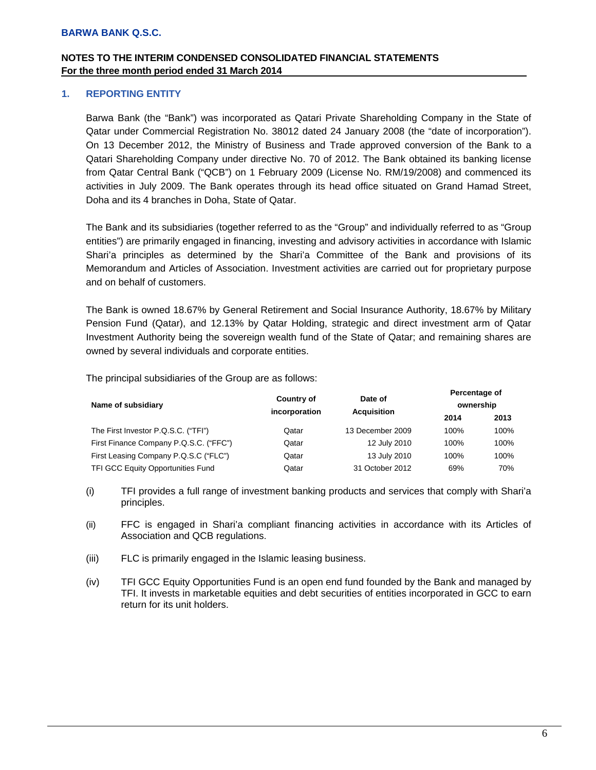## **1. REPORTING ENTITY**

Barwa Bank (the "Bank") was incorporated as Qatari Private Shareholding Company in the State of Qatar under Commercial Registration No. 38012 dated 24 January 2008 (the "date of incorporation"). On 13 December 2012, the Ministry of Business and Trade approved conversion of the Bank to a Qatari Shareholding Company under directive No. 70 of 2012. The Bank obtained its banking license from Qatar Central Bank ("QCB") on 1 February 2009 (License No. RM/19/2008) and commenced its activities in July 2009. The Bank operates through its head office situated on Grand Hamad Street, Doha and its 4 branches in Doha, State of Qatar.

The Bank and its subsidiaries (together referred to as the "Group" and individually referred to as "Group entities") are primarily engaged in financing, investing and advisory activities in accordance with Islamic Shari'a principles as determined by the Shari'a Committee of the Bank and provisions of its Memorandum and Articles of Association. Investment activities are carried out for proprietary purpose and on behalf of customers.

The Bank is owned 18.67% by General Retirement and Social Insurance Authority, 18.67% by Military Pension Fund (Qatar), and 12.13% by Qatar Holding, strategic and direct investment arm of Qatar Investment Authority being the sovereign wealth fund of the State of Qatar; and remaining shares are owned by several individuals and corporate entities.

The principal subsidiaries of the Group are as follows:

| Name of subsidiary                     | <b>Country of</b><br>Date of<br>incorporation<br><b>Acquisition</b> |                  | Percentage of<br>ownership |      |  |
|----------------------------------------|---------------------------------------------------------------------|------------------|----------------------------|------|--|
|                                        |                                                                     |                  | 2014                       | 2013 |  |
| The First Investor P.Q.S.C. ("TFI")    | Qatar                                                               | 13 December 2009 | 100%                       | 100% |  |
| First Finance Company P.Q.S.C. ("FFC") | Qatar                                                               | 12 July 2010     | 100%                       | 100% |  |
| First Leasing Company P.Q.S.C ("FLC")  | Qatar                                                               | 13 July 2010     | 100%                       | 100% |  |
| TFI GCC Equity Opportunities Fund      | Qatar                                                               | 31 October 2012  | 69%                        | 70%  |  |

- (i) TFI provides a full range of investment banking products and services that comply with Shari'a principles.
- (ii) FFC is engaged in Shari'a compliant financing activities in accordance with its Articles of Association and QCB regulations.
- (iii) FLC is primarily engaged in the Islamic leasing business.
- (iv) TFI GCC Equity Opportunities Fund is an open end fund founded by the Bank and managed by TFI. It invests in marketable equities and debt securities of entities incorporated in GCC to earn return for its unit holders.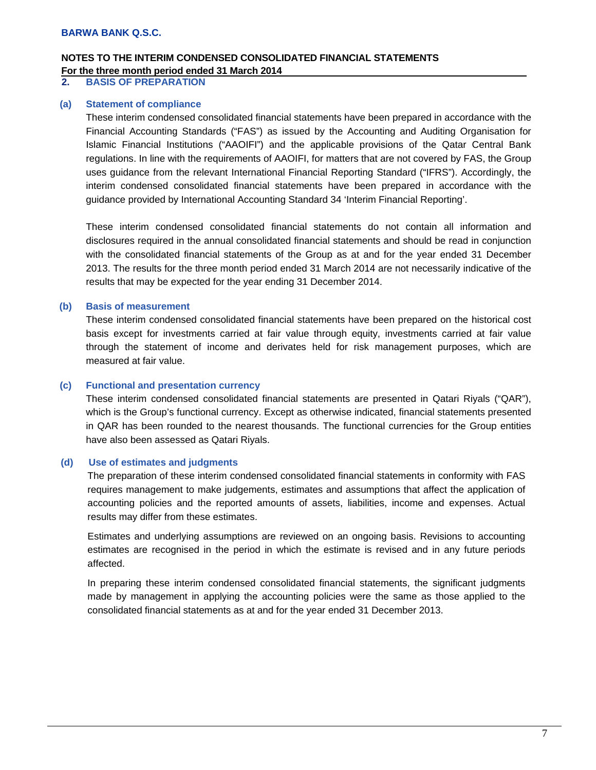#### **2. BASIS OF PREPARATION**

#### **(a) Statement of compliance**

These interim condensed consolidated financial statements have been prepared in accordance with the Financial Accounting Standards ("FAS") as issued by the Accounting and Auditing Organisation for Islamic Financial Institutions ("AAOIFI") and the applicable provisions of the Qatar Central Bank regulations. In line with the requirements of AAOIFI, for matters that are not covered by FAS, the Group uses guidance from the relevant International Financial Reporting Standard ("IFRS"). Accordingly, the interim condensed consolidated financial statements have been prepared in accordance with the guidance provided by International Accounting Standard 34 'Interim Financial Reporting'.

These interim condensed consolidated financial statements do not contain all information and disclosures required in the annual consolidated financial statements and should be read in conjunction with the consolidated financial statements of the Group as at and for the year ended 31 December 2013. The results for the three month period ended 31 March 2014 are not necessarily indicative of the results that may be expected for the year ending 31 December 2014.

#### **(b) Basis of measurement**

These interim condensed consolidated financial statements have been prepared on the historical cost basis except for investments carried at fair value through equity, investments carried at fair value through the statement of income and derivates held for risk management purposes, which are measured at fair value.

#### **(c) Functional and presentation currency**

These interim condensed consolidated financial statements are presented in Qatari Riyals ("QAR"), which is the Group's functional currency. Except as otherwise indicated, financial statements presented in QAR has been rounded to the nearest thousands. The functional currencies for the Group entities have also been assessed as Qatari Riyals.

#### **(d) Use of estimates and judgments**

The preparation of these interim condensed consolidated financial statements in conformity with FAS requires management to make judgements, estimates and assumptions that affect the application of accounting policies and the reported amounts of assets, liabilities, income and expenses. Actual results may differ from these estimates.

Estimates and underlying assumptions are reviewed on an ongoing basis. Revisions to accounting estimates are recognised in the period in which the estimate is revised and in any future periods affected.

In preparing these interim condensed consolidated financial statements, the significant judgments made by management in applying the accounting policies were the same as those applied to the consolidated financial statements as at and for the year ended 31 December 2013.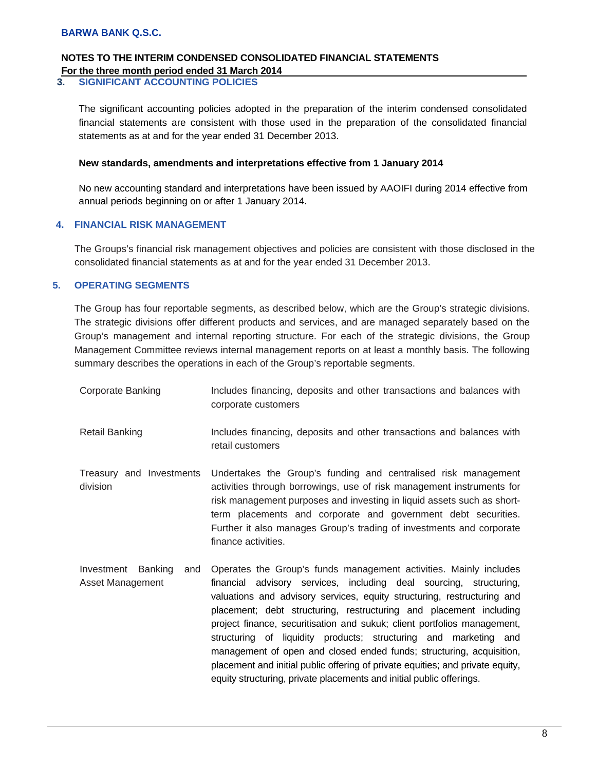## **NOTES TO THE INTERIM CONDENSED CONSOLIDATED FINANCIAL STATEMENTS**

**For the three month period ended 31 March 2014 .** 

## **3. SIGNIFICANT ACCOUNTING POLICIES**

The significant accounting policies adopted in the preparation of the interim condensed consolidated financial statements are consistent with those used in the preparation of the consolidated financial statements as at and for the year ended 31 December 2013.

## **New standards, amendments and interpretations effective from 1 January 2014**

No new accounting standard and interpretations have been issued by AAOIFI during 2014 effective from annual periods beginning on or after 1 January 2014.

## **4. FINANCIAL RISK MANAGEMENT**

The Groups's financial risk management objectives and policies are consistent with those disclosed in the consolidated financial statements as at and for the year ended 31 December 2013.

## **5. OPERATING SEGMENTS**

The Group has four reportable segments, as described below, which are the Group's strategic divisions. The strategic divisions offer different products and services, and are managed separately based on the Group's management and internal reporting structure. For each of the strategic divisions, the Group Management Committee reviews internal management reports on at least a monthly basis. The following summary describes the operations in each of the Group's reportable segments.

| <b>Corporate Banking</b>                         | Includes financing, deposits and other transactions and balances with<br>corporate customers                                                                                                                                                                                                                                                                                                                                                                                                                                                                                                                                                                               |
|--------------------------------------------------|----------------------------------------------------------------------------------------------------------------------------------------------------------------------------------------------------------------------------------------------------------------------------------------------------------------------------------------------------------------------------------------------------------------------------------------------------------------------------------------------------------------------------------------------------------------------------------------------------------------------------------------------------------------------------|
| <b>Retail Banking</b>                            | Includes financing, deposits and other transactions and balances with<br>retail customers                                                                                                                                                                                                                                                                                                                                                                                                                                                                                                                                                                                  |
| Treasury and Investments<br>division             | Undertakes the Group's funding and centralised risk management<br>activities through borrowings, use of risk management instruments for<br>risk management purposes and investing in liquid assets such as short-<br>term placements and corporate and government debt securities.<br>Further it also manages Group's trading of investments and corporate<br>finance activities.                                                                                                                                                                                                                                                                                          |
| Banking<br>Investment<br>and<br>Asset Management | Operates the Group's funds management activities. Mainly includes<br>financial advisory services, including deal sourcing, structuring,<br>valuations and advisory services, equity structuring, restructuring and<br>placement; debt structuring, restructuring and placement including<br>project finance, securitisation and sukuk; client portfolios management,<br>structuring of liquidity products; structuring and marketing and<br>management of open and closed ended funds; structuring, acquisition,<br>placement and initial public offering of private equities; and private equity,<br>equity structuring, private placements and initial public offerings. |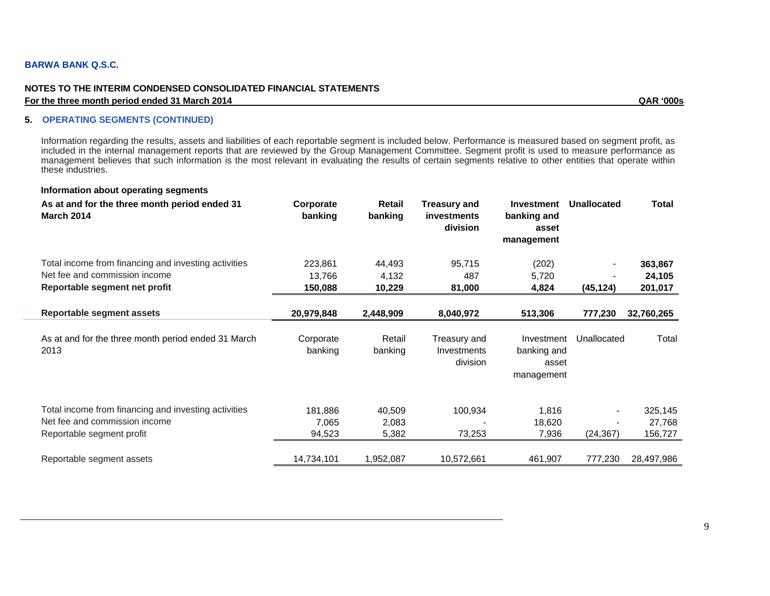#### **NOTES TO THE INTERIM CONDENSED CONSOLIDATED FINANCIAL STATEMENTS For the three month period ended 31 March 2014 QAR '000s**

#### **5. OPERATING SEGMENTS (CONTINUED)**

Information regarding the results, assets and liabilities of each reportable segment is included below. Performance is measured based on segment profit, as included in the internal management reports that are reviewed by the Group Management Committee. Segment profit is used to measure performance as management believes that such information is the most relevant in evaluating the results of certain segments relative to other entities that operate within these industries.

#### **Information about operating segments**

| As at and for the three month period ended 31<br><b>March 2014</b>                                                 | Corporate<br>banking       | Retail<br>banking        | <b>Treasury and</b><br>investments<br>division | <b>Investment</b><br>banking and<br>asset<br>management | <b>Unallocated</b> | Total                        |
|--------------------------------------------------------------------------------------------------------------------|----------------------------|--------------------------|------------------------------------------------|---------------------------------------------------------|--------------------|------------------------------|
| Total income from financing and investing activities                                                               | 223,861                    | 44,493                   | 95,715                                         | (202)                                                   |                    | 363,867                      |
| Net fee and commission income                                                                                      | 13,766                     | 4,132                    | 487                                            | 5,720                                                   |                    | 24,105                       |
| Reportable segment net profit                                                                                      | 150,088                    | 10,229                   | 81,000                                         | 4,824                                                   | (45, 124)          | 201,017                      |
| Reportable segment assets                                                                                          | 20,979,848                 | 2,448,909                | 8,040,972                                      | 513,306                                                 | 777,230            | 32,760,265                   |
| As at and for the three month period ended 31 March<br>2013                                                        | Corporate<br>banking       | Retail<br>banking        | Treasury and<br>Investments<br>division        | Investment<br>banking and<br>asset<br>management        | Unallocated        | Total                        |
| Total income from financing and investing activities<br>Net fee and commission income<br>Reportable segment profit | 181,886<br>7,065<br>94,523 | 40,509<br>2,083<br>5,382 | 100,934<br>73,253                              | 1,816<br>18,620<br>7,936                                | (24, 367)          | 325,145<br>27,768<br>156,727 |
| Reportable segment assets                                                                                          | 14,734,101                 | 1,952,087                | 10,572,661                                     | 461,907                                                 | 777,230            | 28,497,986                   |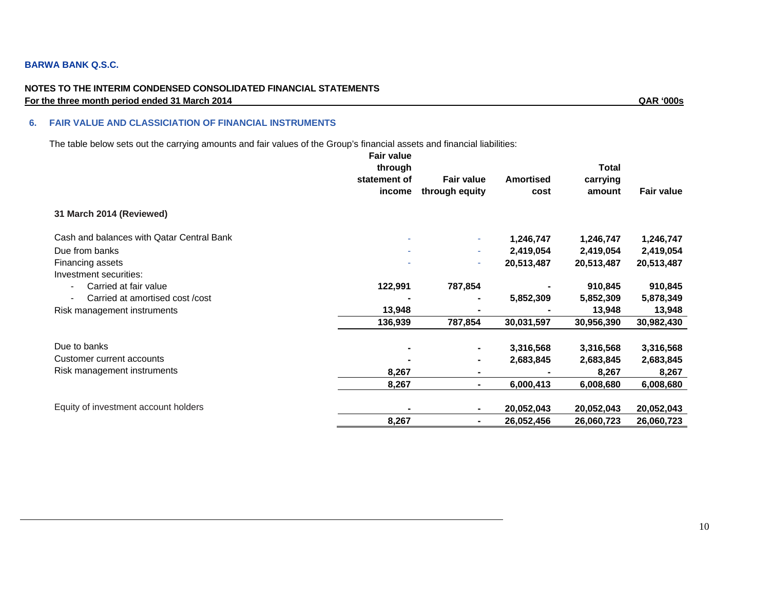#### **NOTES TO THE INTERIM CONDENSED CONSOLIDATED FINANCIAL STATEMENTS For the three month period ended 31 March 2014** QAR '000s

#### **6. FAIR VALUE AND CLASSICIATION OF FINANCIAL INSTRUMENTS**

The table below sets out the carrying amounts and fair values of the Group's financial assets and financial liabilities:

|                                                   | <b>Fair value</b><br>through<br>statement of<br>income | <b>Fair value</b><br>through equity | <b>Amortised</b><br>cost | <b>Total</b><br>carrying<br>amount | <b>Fair value</b> |
|---------------------------------------------------|--------------------------------------------------------|-------------------------------------|--------------------------|------------------------------------|-------------------|
| 31 March 2014 (Reviewed)                          |                                                        |                                     |                          |                                    |                   |
| Cash and balances with Qatar Central Bank         |                                                        | ۰.                                  | 1,246,747                | 1,246,747                          | 1,246,747         |
| Due from banks                                    | ٠                                                      | ÷                                   | 2,419,054                | 2,419,054                          | 2,419,054         |
| Financing assets                                  |                                                        |                                     | 20,513,487               | 20,513,487                         | 20,513,487        |
| Investment securities:                            |                                                        |                                     |                          |                                    |                   |
| Carried at fair value<br>$\overline{\phantom{a}}$ | 122,991                                                | 787,854                             |                          | 910,845                            | 910,845           |
| Carried at amortised cost /cost                   |                                                        |                                     | 5,852,309                | 5,852,309                          | 5,878,349         |
| Risk management instruments                       | 13,948                                                 |                                     |                          | 13,948                             | 13,948            |
|                                                   | 136,939                                                | 787,854                             | 30,031,597               | 30,956,390                         | 30,982,430        |
| Due to banks                                      |                                                        |                                     | 3,316,568                | 3,316,568                          | 3,316,568         |
| Customer current accounts                         |                                                        | ۰                                   | 2,683,845                | 2,683,845                          | 2,683,845         |
| Risk management instruments                       | 8,267                                                  | ۰                                   |                          | 8,267                              | 8,267             |
|                                                   | 8,267                                                  | ٠.                                  | 6,000,413                | 6,008,680                          | 6,008,680         |
| Equity of investment account holders              |                                                        | ۰                                   | 20,052,043               | 20,052,043                         | 20,052,043        |
|                                                   | 8,267                                                  | ٠.                                  | 26,052,456               | 26,060,723                         | 26,060,723        |
|                                                   |                                                        |                                     |                          |                                    |                   |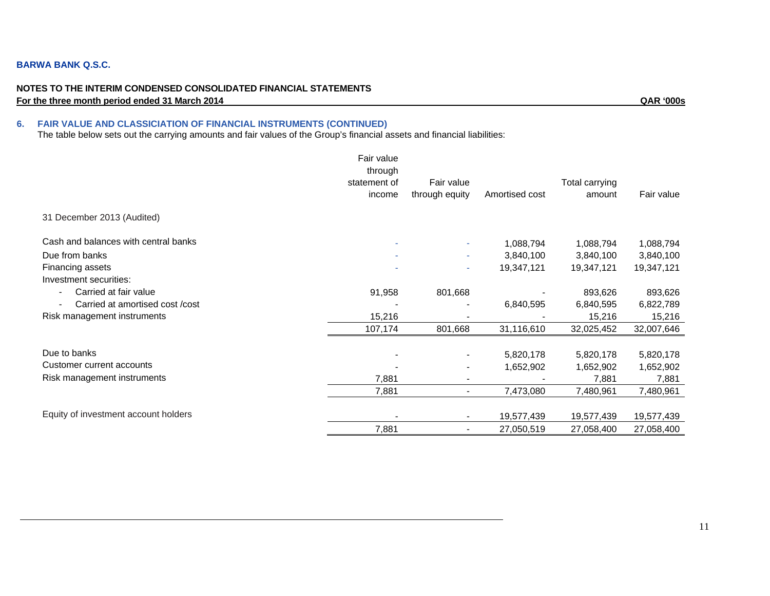#### **NOTES TO THE INTERIM CONDENSED CONSOLIDATED FINANCIAL STATEMENTS For the three month period ended 31 March 2014** QAR '000s

#### **6. FAIR VALUE AND CLASSICIATION OF FINANCIAL INSTRUMENTS (CONTINUED)**

The table below sets out the carrying amounts and fair values of the Group's financial assets and financial liabilities:

|                                      | Fair value              |                          |                |                |            |
|--------------------------------------|-------------------------|--------------------------|----------------|----------------|------------|
|                                      | through<br>statement of | Fair value               |                | Total carrying |            |
|                                      | income                  | through equity           | Amortised cost | amount         | Fair value |
|                                      |                         |                          |                |                |            |
| 31 December 2013 (Audited)           |                         |                          |                |                |            |
| Cash and balances with central banks |                         |                          | 1,088,794      | 1,088,794      | 1,088,794  |
| Due from banks                       |                         | $\sim$                   | 3,840,100      | 3,840,100      | 3,840,100  |
| Financing assets                     |                         | $\sim$                   | 19,347,121     | 19,347,121     | 19,347,121 |
| Investment securities:               |                         |                          |                |                |            |
| Carried at fair value                | 91,958                  | 801,668                  |                | 893,626        | 893,626    |
| Carried at amortised cost /cost      |                         |                          | 6,840,595      | 6,840,595      | 6,822,789  |
| Risk management instruments          | 15,216                  |                          |                | 15,216         | 15,216     |
|                                      | 107,174                 | 801,668                  | 31,116,610     | 32,025,452     | 32,007,646 |
| Due to banks                         |                         |                          | 5,820,178      | 5,820,178      | 5,820,178  |
| Customer current accounts            |                         | $\blacksquare$           | 1,652,902      | 1,652,902      | 1,652,902  |
| Risk management instruments          | 7,881                   |                          |                | 7,881          | 7,881      |
|                                      | 7,881                   |                          | 7,473,080      | 7,480,961      | 7,480,961  |
| Equity of investment account holders |                         | $\overline{\phantom{a}}$ | 19,577,439     | 19,577,439     | 19,577,439 |
|                                      | 7,881                   |                          | 27,050,519     | 27,058,400     | 27,058,400 |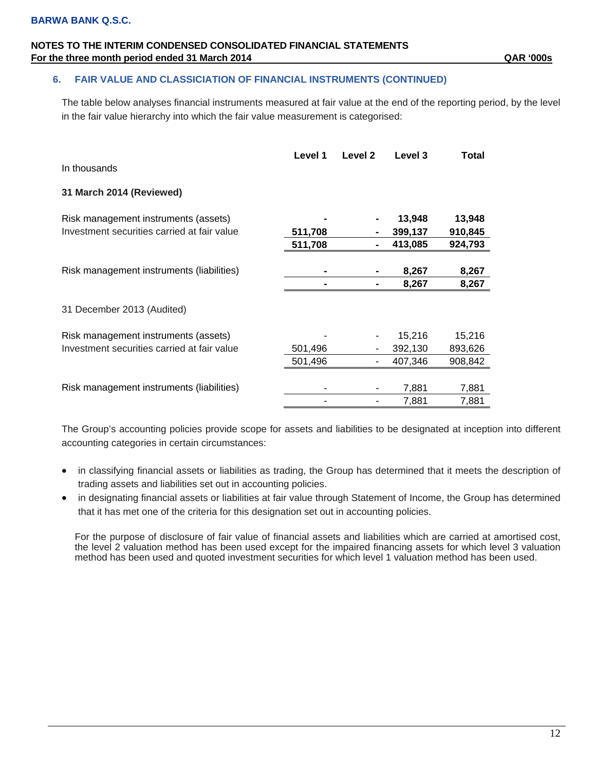## **6. FAIR VALUE AND CLASSICIATION OF FINANCIAL INSTRUMENTS (CONTINUED)**

The table below analyses financial instruments measured at fair value at the end of the reporting period, by the level in the fair value hierarchy into which the fair value measurement is categorised:

| In thousands                                | Level 1            | Level 2 | Level 3            | Total              |
|---------------------------------------------|--------------------|---------|--------------------|--------------------|
| 31 March 2014 (Reviewed)                    |                    |         |                    |                    |
| Risk management instruments (assets)        |                    |         | 13,948             | 13,948             |
| Investment securities carried at fair value | 511,708<br>511,708 |         | 399,137<br>413,085 | 910,845<br>924,793 |
| Risk management instruments (liabilities)   |                    |         | 8,267              | 8,267              |
|                                             |                    |         | 8,267              | 8,267              |
| 31 December 2013 (Audited)                  |                    |         |                    |                    |
| Risk management instruments (assets)        |                    |         | 15,216             | 15,216             |
| Investment securities carried at fair value | 501,496<br>501,496 |         | 392,130<br>407,346 | 893,626<br>908,842 |
|                                             |                    |         |                    |                    |
| Risk management instruments (liabilities)   |                    |         | 7,881              | 7,881              |
|                                             |                    |         | 7,881              | 7,881              |

The Group's accounting policies provide scope for assets and liabilities to be designated at inception into different accounting categories in certain circumstances:

- in classifying financial assets or liabilities as trading, the Group has determined that it meets the description of trading assets and liabilities set out in accounting policies.
- in designating financial assets or liabilities at fair value through Statement of Income, the Group has determined that it has met one of the criteria for this designation set out in accounting policies.

For the purpose of disclosure of fair value of financial assets and liabilities which are carried at amortised cost, the level 2 valuation method has been used except for the impaired financing assets for which level 3 valuation method has been used and quoted investment securities for which level 1 valuation method has been used.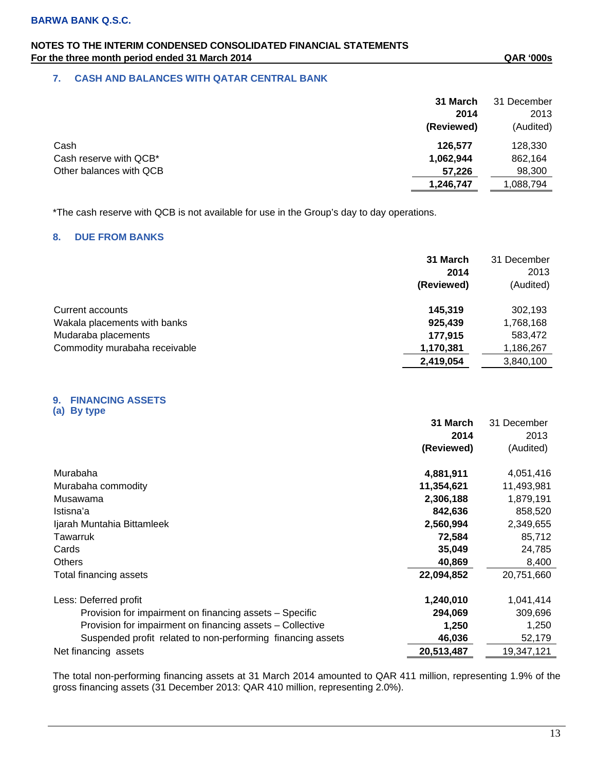## **7. CASH AND BALANCES WITH QATAR CENTRAL BANK**

|                         | 31 March   | 31 December |
|-------------------------|------------|-------------|
|                         | 2014       | 2013        |
|                         | (Reviewed) | (Audited)   |
| Cash                    | 126.577    | 128,330     |
| Cash reserve with QCB*  | 1,062,944  | 862,164     |
| Other balances with QCB | 57,226     | 98,300      |
|                         | 1,246,747  | ,088,794    |

\*The cash reserve with QCB is not available for use in the Group's day to day operations.

## **8. DUE FROM BANKS**

|                               | 31 March<br>2014<br>(Reviewed) | 31 December<br>2013<br>(Audited) |
|-------------------------------|--------------------------------|----------------------------------|
| Current accounts              | 145,319                        | 302,193                          |
| Wakala placements with banks  | 925,439                        | 1,768,168                        |
| Mudaraba placements           | 177,915                        | 583,472                          |
| Commodity murabaha receivable | 1,170,381                      | 1,186,267                        |
|                               | 2,419,054                      | 3,840,100                        |

#### **9. FINANCING ASSETS (a) By type**

**31 March 2014 (Reviewed)** 31 December 2013 (Audited) Murabaha **4,881,911** 4,051,416 Murabaha commodity **11,354,621** 11,493,981 Musawama **2,306,188** 1,879,191 Istisna'a **842,636** 858,520 Ijarah Muntahia Bittamleek **2,560,994** 2,349,655 Tawarruk **72,584** 85,712 Cards **35,049** 24,785 Others **40,869** 8,400 Total financing assets **22,094,852** 20,751,660 Less: Deferred profit **1,240,010** 1,041,414 Provision for impairment on financing assets – Specific **294,069** 309,696 Provision for impairment on financing assets – Collective **1,250 1,250 1,250**  Suspended profit related to non-performing financing assets **46,036** 52,179 Net financing assets **20,513,487** 19,347,121

The total non-performing financing assets at 31 March 2014 amounted to QAR 411 million, representing 1.9% of the gross financing assets (31 December 2013: QAR 410 million, representing 2.0%).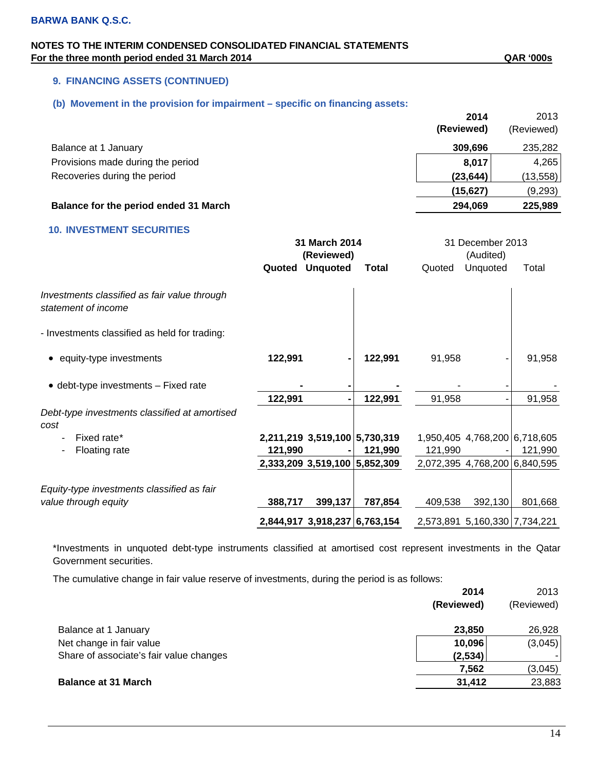## **9. FINANCING ASSETS (CONTINUED)**

## **(b) Movement in the provision for impairment – specific on financing assets:**

|                                       | 2014<br>(Reviewed) | 2013<br>(Reviewed) |
|---------------------------------------|--------------------|--------------------|
| Balance at 1 January                  | 309.696            | 235,282            |
| Provisions made during the period     | 8,017              | 4,265              |
| Recoveries during the period          | (23, 644)          | (13, 558)          |
|                                       | (15, 627)          | (9,293)            |
| Balance for the period ended 31 March | 294,069            | 225,989            |

## **10. INVESTMENT SECURITIES**

|                                                                     |         | 31 March 2014<br>(Reviewed)   |         |         | 31 December 2013<br>(Audited) |                               |
|---------------------------------------------------------------------|---------|-------------------------------|---------|---------|-------------------------------|-------------------------------|
|                                                                     | Quoted  | <b>Unquoted</b>               | Total   | Quoted  | Unquoted                      | Total                         |
| Investments classified as fair value through<br>statement of income |         |                               |         |         |                               |                               |
| - Investments classified as held for trading:                       |         |                               |         |         |                               |                               |
| • equity-type investments                                           | 122,991 |                               | 122,991 | 91,958  |                               | 91,958                        |
| $\bullet$ debt-type investments $-$ Fixed rate                      |         |                               |         |         |                               |                               |
|                                                                     | 122,991 |                               | 122,991 | 91,958  |                               | 91,958                        |
| Debt-type investments classified at amortised<br>cost               |         |                               |         |         |                               |                               |
| Fixed rate*                                                         |         | 2,211,219 3,519,100 5,730,319 |         |         | 1,950,405 4,768,200 6,718,605 |                               |
| Floating rate<br>-                                                  | 121,990 |                               | 121,990 | 121,990 |                               | 121,990                       |
|                                                                     |         | 2,333,209 3,519,100 5,852,309 |         |         |                               | 2,072,395 4,768,200 6,840,595 |
| Equity-type investments classified as fair                          |         |                               |         |         |                               |                               |
| value through equity                                                | 388,717 | 399,137                       | 787,854 | 409,538 | 392,130                       | 801,668                       |
|                                                                     |         | 2,844,917 3,918,237 6,763,154 |         |         | 2,573,891 5,160,330 7,734,221 |                               |

\*Investments in unquoted debt-type instruments classified at amortised cost represent investments in the Qatar Government securities.

The cumulative change in fair value reserve of investments, during the period is as follows:

|                                         | 2014       | 2013       |
|-----------------------------------------|------------|------------|
|                                         | (Reviewed) | (Reviewed) |
| Balance at 1 January                    | 23,850     | 26,928     |
| Net change in fair value                | 10,096     | (3,045)    |
| Share of associate's fair value changes | (2,534)    |            |
|                                         | 7,562      | (3,045)    |
| <b>Balance at 31 March</b>              | 31,412     | 23,883     |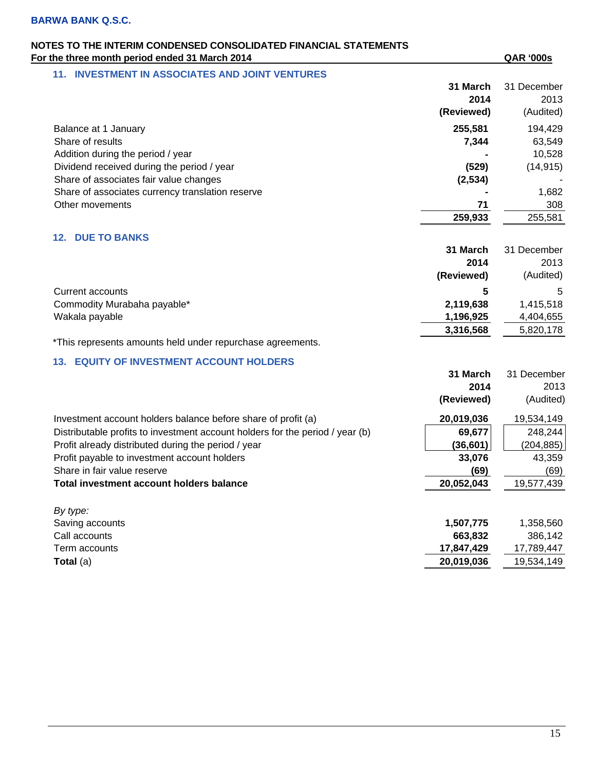**11. INVESTMENT IN ASSOCIATES AND JOINT VENTURES** 

|                                                  | 31 March   | 31 December |
|--------------------------------------------------|------------|-------------|
|                                                  | 2014       | 2013        |
|                                                  | (Reviewed) | (Audited)   |
| Balance at 1 January                             | 255,581    | 194,429     |
| Share of results                                 | 7,344      | 63,549      |
| Addition during the period / year                |            | 10,528      |
| Dividend received during the period / year       | (529)      | (14, 915)   |
| Share of associates fair value changes           | (2, 534)   |             |
| Share of associates currency translation reserve |            | 1,682       |
| Other movements                                  | 71         | 308         |
|                                                  | 259,933    | 255,581     |

## **12. DUE TO BANKS**

|                             | 31 March   | 31 December |
|-----------------------------|------------|-------------|
|                             | 2014       | 2013        |
|                             | (Reviewed) | (Audited)   |
| Current accounts            |            | -5.         |
| Commodity Murabaha payable* | 2,119,638  | 1,415,518   |
| Wakala payable              | 1,196,925  | 4,404,655   |
|                             | 3,316,568  | 5,820,178   |

\*This represents amounts held under repurchase agreements.

## **13. EQUITY OF INVESTMENT ACCOUNT HOLDERS**

|                                                                               | 31 March   | 31 December |
|-------------------------------------------------------------------------------|------------|-------------|
|                                                                               | 2014       | 2013        |
|                                                                               | (Reviewed) | (Audited)   |
| Investment account holders balance before share of profit (a)                 | 20,019,036 | 19,534,149  |
| Distributable profits to investment account holders for the period / year (b) | 69,677     | 248,244     |
| Profit already distributed during the period / year                           | (36, 601)  | (204, 885)  |
| Profit payable to investment account holders                                  | 33,076     | 43,359      |
| Share in fair value reserve                                                   | (69)       | (69)        |
| Total investment account holders balance                                      | 20,052,043 | 19,577,439  |
| By type:                                                                      |            |             |
| Saving accounts                                                               | 1,507,775  | 1,358,560   |
| Call accounts                                                                 | 663,832    | 386,142     |
| Term accounts                                                                 | 17,847,429 | 17,789,447  |
| Total (a)                                                                     | 20,019,036 | 19,534,149  |
|                                                                               |            |             |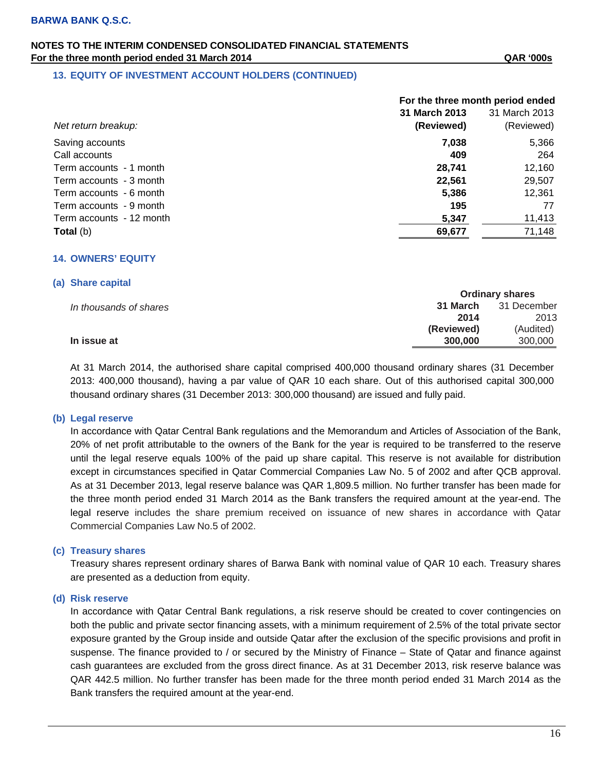## **13. EQUITY OF INVESTMENT ACCOUNT HOLDERS (CONTINUED)**

|                          | For the three month period ended |               |
|--------------------------|----------------------------------|---------------|
|                          | 31 March 2013                    | 31 March 2013 |
| Net return breakup:      | (Reviewed)                       | (Reviewed)    |
| Saving accounts          | 7,038                            | 5,366         |
| Call accounts            | 409                              | 264           |
| Term accounts - 1 month  | 28.741                           | 12,160        |
| Term accounts - 3 month  | 22,561                           | 29,507        |
| Term accounts - 6 month  | 5,386                            | 12,361        |
| Term accounts - 9 month  | 195                              | 77            |
| Term accounts - 12 month | 5,347                            | 11,413        |
| <b>Total</b> (b)         | 69,677                           | 71,148        |

#### **14. OWNERS' EQUITY**

#### **(a) Share capital**

|                        |            | <b>Ordinary shares</b> |
|------------------------|------------|------------------------|
| In thousands of shares | 31 March   | 31 December            |
|                        | 2014       | 2013                   |
|                        | (Reviewed) | (Audited)              |
| In issue at            | 300,000    | 300,000                |

At 31 March 2014, the authorised share capital comprised 400,000 thousand ordinary shares (31 December 2013: 400,000 thousand), having a par value of QAR 10 each share. Out of this authorised capital 300,000 thousand ordinary shares (31 December 2013: 300,000 thousand) are issued and fully paid.

#### **(b) Legal reserve**

In accordance with Qatar Central Bank regulations and the Memorandum and Articles of Association of the Bank, 20% of net profit attributable to the owners of the Bank for the year is required to be transferred to the reserve until the legal reserve equals 100% of the paid up share capital. This reserve is not available for distribution except in circumstances specified in Qatar Commercial Companies Law No. 5 of 2002 and after QCB approval. As at 31 December 2013, legal reserve balance was QAR 1,809.5 million. No further transfer has been made for the three month period ended 31 March 2014 as the Bank transfers the required amount at the year-end. The legal reserve includes the share premium received on issuance of new shares in accordance with Qatar Commercial Companies Law No.5 of 2002.

#### **(c) Treasury shares**

Treasury shares represent ordinary shares of Barwa Bank with nominal value of QAR 10 each. Treasury shares are presented as a deduction from equity.

#### **(d) Risk reserve**

In accordance with Qatar Central Bank regulations, a risk reserve should be created to cover contingencies on both the public and private sector financing assets, with a minimum requirement of 2.5% of the total private sector exposure granted by the Group inside and outside Qatar after the exclusion of the specific provisions and profit in suspense. The finance provided to / or secured by the Ministry of Finance – State of Qatar and finance against cash guarantees are excluded from the gross direct finance. As at 31 December 2013, risk reserve balance was QAR 442.5 million. No further transfer has been made for the three month period ended 31 March 2014 as the Bank transfers the required amount at the year-end.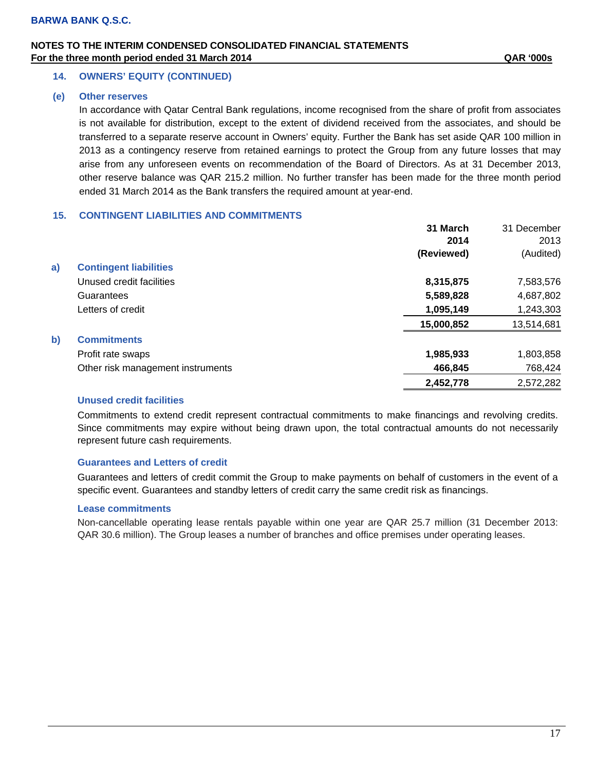## **14. OWNERS' EQUITY (CONTINUED)**

#### **(e) Other reserves**

In accordance with Qatar Central Bank regulations, income recognised from the share of profit from associates is not available for distribution, except to the extent of dividend received from the associates, and should be transferred to a separate reserve account in Owners' equity. Further the Bank has set aside QAR 100 million in 2013 as a contingency reserve from retained earnings to protect the Group from any future losses that may arise from any unforeseen events on recommendation of the Board of Directors. As at 31 December 2013, other reserve balance was QAR 215.2 million. No further transfer has been made for the three month period ended 31 March 2014 as the Bank transfers the required amount at year-end.

#### **15. CONTINGENT LIABILITIES AND COMMITMENTS**

|              |                                   | 31 March   | 31 December |
|--------------|-----------------------------------|------------|-------------|
|              |                                   | 2014       | 2013        |
|              |                                   | (Reviewed) | (Audited)   |
| a)           | <b>Contingent liabilities</b>     |            |             |
|              | Unused credit facilities          | 8,315,875  | 7,583,576   |
|              | <b>Guarantees</b>                 | 5,589,828  | 4,687,802   |
|              | Letters of credit                 | 1,095,149  | 1,243,303   |
|              |                                   | 15,000,852 | 13,514,681  |
| $\mathbf{b}$ | <b>Commitments</b>                |            |             |
|              | Profit rate swaps                 | 1,985,933  | 1,803,858   |
|              | Other risk management instruments | 466,845    | 768,424     |
|              |                                   | 2,452,778  | 2,572,282   |
|              |                                   |            |             |

## **Unused credit facilities**

Commitments to extend credit represent contractual commitments to make financings and revolving credits. Since commitments may expire without being drawn upon, the total contractual amounts do not necessarily represent future cash requirements.

#### **Guarantees and Letters of credit**

Guarantees and letters of credit commit the Group to make payments on behalf of customers in the event of a specific event. Guarantees and standby letters of credit carry the same credit risk as financings.

#### **Lease commitments**

Non-cancellable operating lease rentals payable within one year are QAR 25.7 million (31 December 2013: QAR 30.6 million). The Group leases a number of branches and office premises under operating leases.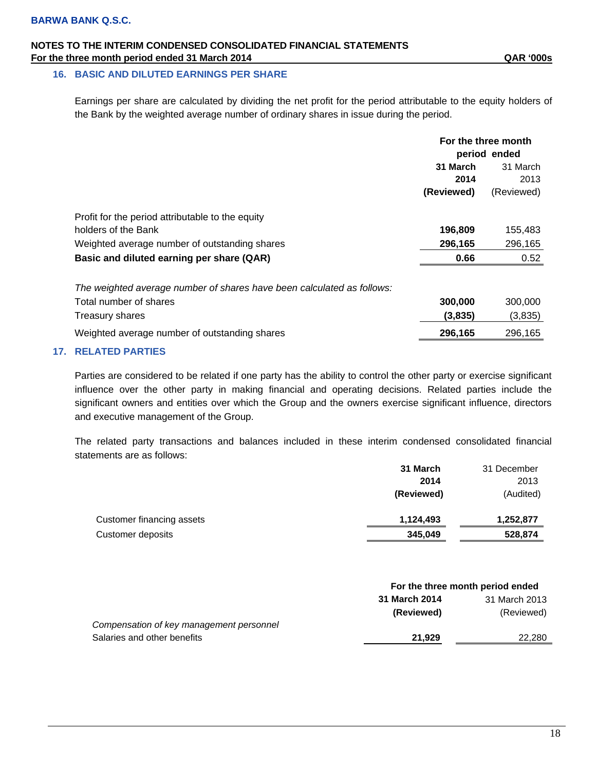## **16. BASIC AND DILUTED EARNINGS PER SHARE**

Earnings per share are calculated by dividing the net profit for the period attributable to the equity holders of the Bank by the weighted average number of ordinary shares in issue during the period.

|                                                                        | For the three month<br>period ended |            |
|------------------------------------------------------------------------|-------------------------------------|------------|
|                                                                        | 31 March                            | 31 March   |
|                                                                        | 2014                                | 2013       |
|                                                                        | (Reviewed)                          | (Reviewed) |
| Profit for the period attributable to the equity                       |                                     |            |
| holders of the Bank                                                    | 196,809                             | 155,483    |
| Weighted average number of outstanding shares                          | 296,165                             | 296,165    |
| Basic and diluted earning per share (QAR)                              | 0.66                                | 0.52       |
| The weighted average number of shares have been calculated as follows: |                                     |            |
| Total number of shares                                                 | 300,000                             | 300,000    |
| Treasury shares                                                        | (3,835)                             | (3,835)    |
| Weighted average number of outstanding shares                          | 296,165                             | 296,165    |

#### **17. RELATED PARTIES**

Parties are considered to be related if one party has the ability to control the other party or exercise significant influence over the other party in making financial and operating decisions. Related parties include the significant owners and entities over which the Group and the owners exercise significant influence, directors and executive management of the Group.

The related party transactions and balances included in these interim condensed consolidated financial statements are as follows:

|                           | 31 March   | 31 December |
|---------------------------|------------|-------------|
|                           | 2014       | 2013        |
|                           | (Reviewed) | (Audited)   |
| Customer financing assets | 1,124,493  | 1,252,877   |
| Customer deposits         | 345,049    | 528,874     |

|                                          |               | For the three month period ended |  |  |
|------------------------------------------|---------------|----------------------------------|--|--|
|                                          | 31 March 2014 | 31 March 2013                    |  |  |
|                                          | (Reviewed)    | (Reviewed)                       |  |  |
| Compensation of key management personnel |               |                                  |  |  |
| Salaries and other benefits              | 21,929        | 22.280                           |  |  |